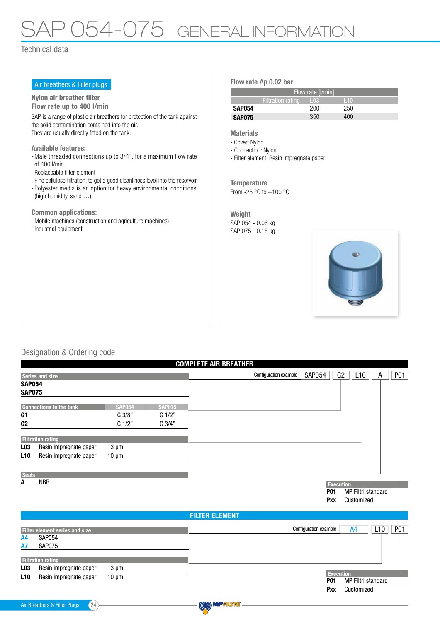# P 054-075 GENERAL INFORMATION

### Technical data

| Air breathers & Filler plugs                                                    | Flow rate $\Delta p$ 0.02 bar                      |
|---------------------------------------------------------------------------------|----------------------------------------------------|
|                                                                                 | Flow rate [I/min]                                  |
| Nylon air breather filter                                                       | L10<br><b>Filtration rating</b><br>L <sub>03</sub> |
| Flow rate up to 400 l/min                                                       | <b>SAP054</b><br>200<br>250                        |
| SAP is a range of plastic air breathers for protection of the tank against      | 350<br>400<br><b>SAP075</b>                        |
| the solid contamination contained into the air.                                 |                                                    |
| They are usually directly fitted on the tank.                                   | <b>Materials</b>                                   |
| <b>Available features:</b>                                                      | - Cover: Nylon                                     |
| - Male threaded connections up to 3/4", for a maximum flow rate                 | - Connection: Nylon                                |
| of 400 l/min                                                                    | - Filter element: Resin impregnate paper           |
| - Replaceable filter element                                                    |                                                    |
| - Fine cellulose filtration, to get a good cleanliness level into the reservoir | <b>Temperature</b>                                 |
| - Polyester media is an option for heavy environmental conditions               | From -25 $\degree$ C to +100 $\degree$ C           |
| (high humidity, sand )                                                          |                                                    |
| <b>Common applications:</b>                                                     |                                                    |
| - Mobile machines (construction and agriculture machines)                       | Weight                                             |
| - Industrial equipment                                                          | SAP 054 - 0.06 kg<br>SAP 075 - 0.15 kg             |
|                                                                                 |                                                    |
|                                                                                 |                                                    |
|                                                                                 |                                                    |
|                                                                                 |                                                    |
|                                                                                 |                                                    |
|                                                                                 |                                                    |
|                                                                                 |                                                    |
|                                                                                 |                                                    |
|                                                                                 |                                                    |
|                                                                                 |                                                    |
|                                                                                 |                                                    |

### Designation & Ordering code

|                 |                                       |               |                     | <b>COMPLETE AIR BREATHER</b>                               |                 |
|-----------------|---------------------------------------|---------------|---------------------|------------------------------------------------------------|-----------------|
|                 | Series and size                       |               |                     | G2<br><b>SAP054</b><br>L10<br>Configuration example :<br>А | P <sub>01</sub> |
| <b>SAP054</b>   |                                       |               |                     |                                                            |                 |
| <b>SAP075</b>   |                                       |               |                     |                                                            |                 |
|                 | <b>Connections to the tank</b>        | <b>SAP054</b> | <b>SAP075</b>       |                                                            |                 |
| G1              |                                       | G 3/8"        | $G \frac{1}{2}$     |                                                            |                 |
| G <sub>2</sub>  |                                       | G 1/2"        | $G \overline{3/4"}$ |                                                            |                 |
|                 | <b>Filtration rating</b>              |               |                     |                                                            |                 |
| L03             | Resin impregnate paper                | $3 \mu m$     |                     |                                                            |                 |
| L <sub>10</sub> | Resin impregnate paper                | $10 \mu m$    |                     |                                                            |                 |
| <b>Seals</b>    |                                       |               |                     |                                                            |                 |
| A               | <b>NBR</b>                            |               |                     | <b>Execution</b>                                           |                 |
|                 |                                       |               |                     | <b>MP Filtri standard</b><br><b>P01</b>                    |                 |
|                 |                                       |               |                     | Pxx<br>Customized                                          |                 |
|                 |                                       |               |                     | <b>FILTER ELEMENT</b>                                      |                 |
|                 | <b>Filter element series and size</b> |               |                     | A4<br>L10<br>Configuration example :                       | P <sub>01</sub> |

| <b>Filter element series and size</b>                   | P <sub>0</sub> 1<br>L10<br>Configuration example :<br>A4 |
|---------------------------------------------------------|----------------------------------------------------------|
| <b>SAP054</b><br>A4                                     |                                                          |
| SAP075                                                  |                                                          |
|                                                         |                                                          |
| <b>Filtration rating</b>                                |                                                          |
| L03<br>Resin impregnate paper<br>$3 \mu m$              |                                                          |
| <b>L10</b><br>Resin impregnate paper<br>$10 \text{ µm}$ | <b>Execution</b>                                         |
|                                                         | MP Filtri standard<br><b>P01</b>                         |
|                                                         | Customized<br><b>Pxx</b>                                 |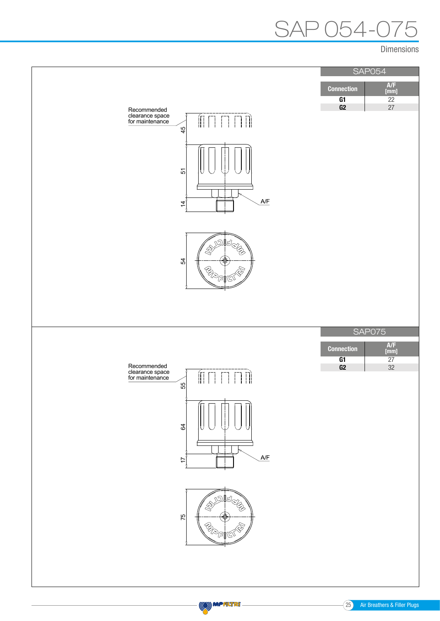# $54-0$

Dimensions



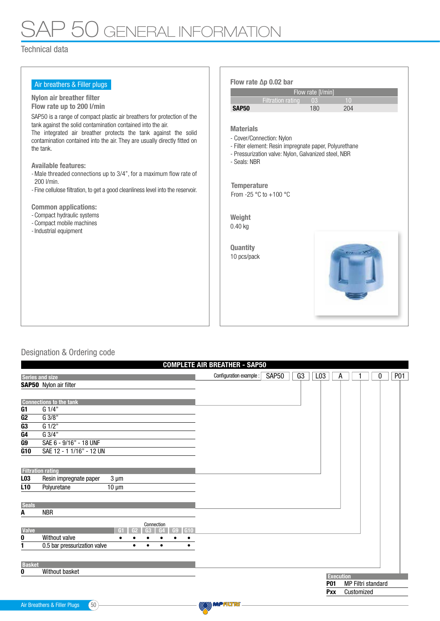## SAP 50 GENERAL INFORMATION

#### Technical data

| Air breathers & Filler plugs                                                                                                                                                                                                                                                                                                                                                                                                                                                                                                                                                                                                    | Flow rate $\Delta p$ 0.02 bar                                                                                                                                                                                                                                                                         |
|---------------------------------------------------------------------------------------------------------------------------------------------------------------------------------------------------------------------------------------------------------------------------------------------------------------------------------------------------------------------------------------------------------------------------------------------------------------------------------------------------------------------------------------------------------------------------------------------------------------------------------|-------------------------------------------------------------------------------------------------------------------------------------------------------------------------------------------------------------------------------------------------------------------------------------------------------|
|                                                                                                                                                                                                                                                                                                                                                                                                                                                                                                                                                                                                                                 | Flow rate [I/min]                                                                                                                                                                                                                                                                                     |
| Nylon air breather filter                                                                                                                                                                                                                                                                                                                                                                                                                                                                                                                                                                                                       | <b>Filtration rating</b><br>10<br>03                                                                                                                                                                                                                                                                  |
| Flow rate up to 200 l/min                                                                                                                                                                                                                                                                                                                                                                                                                                                                                                                                                                                                       | <b>SAP50</b><br>180<br>204                                                                                                                                                                                                                                                                            |
| SAP50 is a range of compact plastic air breathers for protection of the<br>tank against the solid contamination contained into the air.<br>The integrated air breather protects the tank against the solid<br>contamination contained into the air. They are usually directly fitted on<br>the tank.<br><b>Available features:</b><br>- Male threaded connections up to 3/4", for a maximum flow rate of<br>200 I/min.<br>- Fine cellulose filtration, to get a good cleanliness level into the reservoir.<br><b>Common applications:</b><br>- Compact hydraulic systems<br>- Compact mobile machines<br>- Industrial equipment | <b>Materials</b><br>- Cover/Connection: Nylon<br>- Filter element: Resin impregnate paper, Polyurethane<br>- Pressurization valve: Nylon, Galvanized steel, NBR<br>- Seals: NBR<br><b>Temperature</b><br>From -25 $^{\circ}$ C to +100 $^{\circ}$ C<br>Weight<br>$0.40$ kg<br>Quantity<br>10 pcs/pack |
|                                                                                                                                                                                                                                                                                                                                                                                                                                                                                                                                                                                                                                 |                                                                                                                                                                                                                                                                                                       |
|                                                                                                                                                                                                                                                                                                                                                                                                                                                                                                                                                                                                                                 |                                                                                                                                                                                                                                                                                                       |

### Designation & Ordering code

|                          |                                                                     | <b>COMPLETE AIR BREATHER - SAP50</b> |              |    |                 |                  |            |                    |   |            |
|--------------------------|---------------------------------------------------------------------|--------------------------------------|--------------|----|-----------------|------------------|------------|--------------------|---|------------|
| <b>Series and size</b>   |                                                                     | Configuration example :              | <b>SAP50</b> | G3 | L <sub>03</sub> | A                |            |                    | 0 | <b>P01</b> |
|                          | <b>SAP50</b> Nylon air filter                                       |                                      |              |    |                 |                  |            |                    |   |            |
|                          |                                                                     |                                      |              |    |                 |                  |            |                    |   |            |
|                          | <b>Connections to the tank</b>                                      |                                      |              |    |                 |                  |            |                    |   |            |
| G <sub>1</sub>           | G 1/4"                                                              |                                      |              |    |                 |                  |            |                    |   |            |
| $\overline{G2}$          | $G$ 3/8"                                                            |                                      |              |    |                 |                  |            |                    |   |            |
| G3                       | G 1/2"                                                              |                                      |              |    |                 |                  |            |                    |   |            |
| G4                       | G 3/4"                                                              |                                      |              |    |                 |                  |            |                    |   |            |
| G9                       | SAE 6 - 9/16" - 18 UNF                                              |                                      |              |    |                 |                  |            |                    |   |            |
| G10                      | SAE 12 - 1 1/16" - 12 UN                                            |                                      |              |    |                 |                  |            |                    |   |            |
|                          |                                                                     |                                      |              |    |                 |                  |            |                    |   |            |
| <b>Filtration rating</b> |                                                                     |                                      |              |    |                 |                  |            |                    |   |            |
| L <sub>03</sub>          | Resin impregnate paper<br>$3 \mu m$                                 |                                      |              |    |                 |                  |            |                    |   |            |
| L <sub>10</sub>          | Polyuretane<br>$10 \mu m$                                           |                                      |              |    |                 |                  |            |                    |   |            |
|                          |                                                                     |                                      |              |    |                 |                  |            |                    |   |            |
| <b>Seals</b>             |                                                                     |                                      |              |    |                 |                  |            |                    |   |            |
| A                        | <b>NBR</b>                                                          |                                      |              |    |                 |                  |            |                    |   |            |
|                          |                                                                     |                                      |              |    |                 |                  |            |                    |   |            |
| <b>Valve</b>             | Connection<br>G <sub>10</sub><br>G1<br>G2<br>HO.                    |                                      |              |    |                 |                  |            |                    |   |            |
| 0                        | Without valve                                                       |                                      |              |    |                 |                  |            |                    |   |            |
| 1                        | 0.5 bar pressurization valve<br>$\bullet$<br>$\bullet$<br>$\bullet$ |                                      |              |    |                 |                  |            |                    |   |            |
|                          |                                                                     |                                      |              |    |                 |                  |            |                    |   |            |
| <b>Basket</b>            |                                                                     |                                      |              |    |                 |                  |            |                    |   |            |
| 0                        | Without basket                                                      |                                      |              |    |                 |                  |            |                    |   |            |
|                          |                                                                     |                                      |              |    | <b>P01</b>      | <b>Execution</b> |            |                    |   |            |
|                          |                                                                     |                                      |              |    |                 |                  |            | MP Filtri standard |   |            |
|                          |                                                                     |                                      |              |    | Pxx             |                  | Customized |                    |   |            |
|                          | 50<br>Air Breathers & Filler Plugs                                  | (O) MPALT                            |              |    |                 |                  |            |                    |   |            |
|                          |                                                                     |                                      |              |    |                 |                  |            |                    |   |            |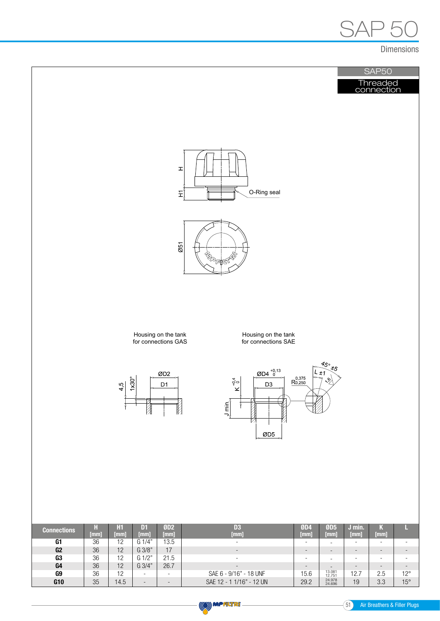

Dimensions

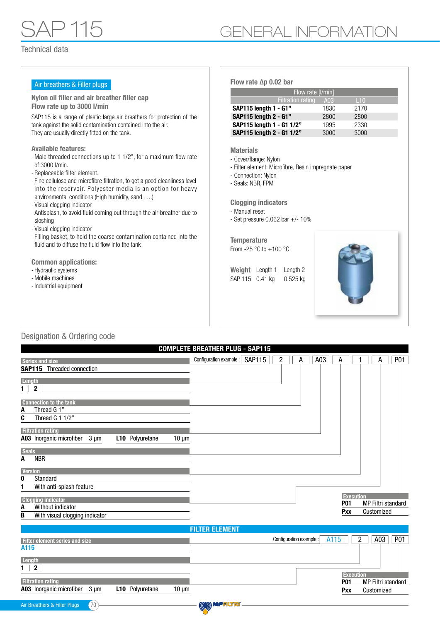| Flow rate $\Delta p$ 0.02 bar                                                                                                                                                                                                                                                                                   |                                                                                                             |                                                                      |  |
|-----------------------------------------------------------------------------------------------------------------------------------------------------------------------------------------------------------------------------------------------------------------------------------------------------------------|-------------------------------------------------------------------------------------------------------------|----------------------------------------------------------------------|--|
| Flow rate [I/min]                                                                                                                                                                                                                                                                                               |                                                                                                             |                                                                      |  |
|                                                                                                                                                                                                                                                                                                                 | A03                                                                                                         | L10                                                                  |  |
| SAP115 length 1 - G1"                                                                                                                                                                                                                                                                                           | 1830                                                                                                        | 2170                                                                 |  |
|                                                                                                                                                                                                                                                                                                                 | 2800                                                                                                        | 2800                                                                 |  |
|                                                                                                                                                                                                                                                                                                                 |                                                                                                             | 2330                                                                 |  |
|                                                                                                                                                                                                                                                                                                                 |                                                                                                             | 3000                                                                 |  |
| <b>Materials</b><br>- Cover/flange: Nylon<br>- Connection: Nylon<br>- Seals: NBR, FPM<br><b>Clogging indicators</b><br>- Manual reset<br>- Set pressure $0.062$ bar $+/-10\%$<br><b>Temperature</b><br>From -25 $\degree$ C to +100 $\degree$ C<br>Weight Length 1<br>Length 2<br>SAP 115 0.41 kg<br>$0.525$ kg |                                                                                                             |                                                                      |  |
|                                                                                                                                                                                                                                                                                                                 | <b>Filtration rating</b><br>SAP115 length 2 - G1"<br>SAP115 length 1 - G1 1/2"<br>SAP115 length 2 - G1 1/2" | 1995<br>3000<br>- Filter element: Microfibre, Resin impregnate paper |  |

### Designation & Ordering code

|                                                                               | <b>COMPLETE BREATHER PLUG - SAP115</b>          |                                                                        |
|-------------------------------------------------------------------------------|-------------------------------------------------|------------------------------------------------------------------------|
| <b>Series and size</b>                                                        | Configuration example: SAP115<br>$\overline{2}$ | A03<br>P01<br>А<br>A<br>А                                              |
| <b>SAP115</b> Threaded connection                                             |                                                 |                                                                        |
| Length                                                                        |                                                 |                                                                        |
| $\mathbf{2}$<br>$\mathbf{1}$                                                  |                                                 |                                                                        |
|                                                                               |                                                 |                                                                        |
| <b>Connection to the tank</b><br>Thread G 1"<br>A                             |                                                 |                                                                        |
| C<br>Thread G 1 1/2"                                                          |                                                 |                                                                        |
| <b>Filtration rating</b>                                                      |                                                 |                                                                        |
| A03 Inorganic microfiber<br>$3 \mu m$<br>L10 Polyuretane<br>$10 \mu m$        |                                                 |                                                                        |
|                                                                               |                                                 |                                                                        |
| <b>Seals</b><br><b>NBR</b><br>Α                                               |                                                 |                                                                        |
|                                                                               |                                                 |                                                                        |
| <b>Version</b><br>Standard<br>0                                               |                                                 |                                                                        |
| With anti-splash feature                                                      |                                                 |                                                                        |
|                                                                               |                                                 | <b>Execution</b>                                                       |
| <b>Clogging indicator</b><br>Without indicator<br>A                           |                                                 | MP Filtri standard<br><b>P01</b>                                       |
| With visual clogging indicator<br>B                                           |                                                 | Customized<br>Pxx                                                      |
|                                                                               |                                                 |                                                                        |
|                                                                               | <b>FILTER ELEMENT</b>                           |                                                                        |
| <b>Filter element series and size</b>                                         |                                                 | A115<br>$\overline{c}$<br>A03<br><b>P01</b><br>Configuration example : |
| A115                                                                          |                                                 |                                                                        |
| Length                                                                        |                                                 |                                                                        |
| $\boldsymbol{2}$<br>$\mathbf{1}$                                              |                                                 | <b>Execution</b>                                                       |
| <b>Filtration rating</b>                                                      |                                                 | <b>P01</b><br>MP Filtri standard                                       |
| A03 Inorganic microfiber<br>$3 \mu m$<br><b>L10</b> Polyuretane<br>$10 \mu m$ |                                                 | Customized<br>Pxx                                                      |
|                                                                               |                                                 |                                                                        |
| 70<br>Air Breathers & Filler Plugs                                            | (O) MPALTR                                      |                                                                        |